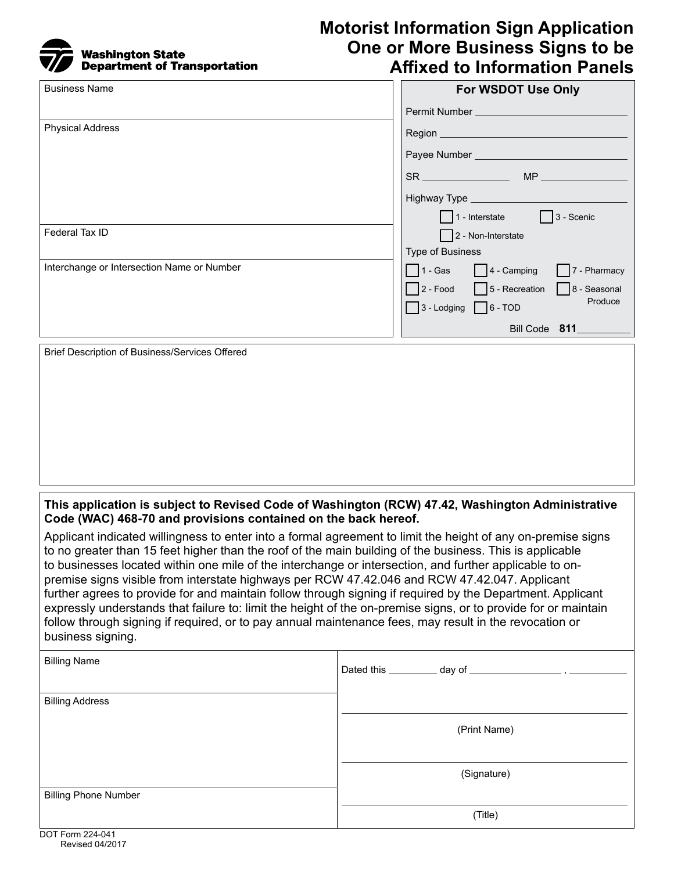

# **Motorist Information Sign Application One or More Business Signs to be Affixed to Information Panels**

| <b>Business Name</b>                           | For WSDOT Use Only                                                           |
|------------------------------------------------|------------------------------------------------------------------------------|
|                                                |                                                                              |
| <b>Physical Address</b>                        |                                                                              |
|                                                | Payee Number ________________________________                                |
|                                                |                                                                              |
|                                                | Highway Type ___________________________________                             |
|                                                | 1 - Interstate 3 - Scenic                                                    |
| Federal Tax ID                                 | 2 - Non-Interstate                                                           |
|                                                | Type of Business                                                             |
| Interchange or Intersection Name or Number     | $\sqrt{1 - \text{Gas}}$ $\sqrt{4 - \text{Camping}}$<br>$\sqrt{7}$ - Pharmacy |
|                                                | $\Box$ 2 - Food $\Box$ 5 - Recreation $\Box$ 8 - Seasonal                    |
|                                                | Produce<br>$\Box$ 3 - Lodging $\Box$ 6 - TOD                                 |
|                                                | Bill Code 811                                                                |
| Brief Description of Business/Services Offered |                                                                              |
|                                                |                                                                              |
|                                                |                                                                              |
|                                                |                                                                              |
|                                                |                                                                              |
|                                                |                                                                              |
|                                                |                                                                              |
|                                                |                                                                              |
|                                                |                                                                              |

**This application is subject to Revised Code of Washington (RCW) 47.42, Washington Administrative Code (WAC) 468-70 and provisions contained on the back hereof.**

Applicant indicated willingness to enter into a formal agreement to limit the height of any on-premise signs to no greater than 15 feet higher than the roof of the main building of the business. This is applicable to businesses located within one mile of the interchange or intersection, and further applicable to onpremise signs visible from interstate highways per RCW 47.42.046 and RCW 47.42.047. Applicant further agrees to provide for and maintain follow through signing if required by the Department. Applicant expressly understands that failure to: limit the height of the on-premise signs, or to provide for or maintain follow through signing if required, or to pay annual maintenance fees, may result in the revocation or business signing.

| <b>Billing Name</b>         |              |
|-----------------------------|--------------|
| <b>Billing Address</b>      |              |
|                             | (Print Name) |
|                             | (Signature)  |
| <b>Billing Phone Number</b> |              |
|                             | (Title)      |